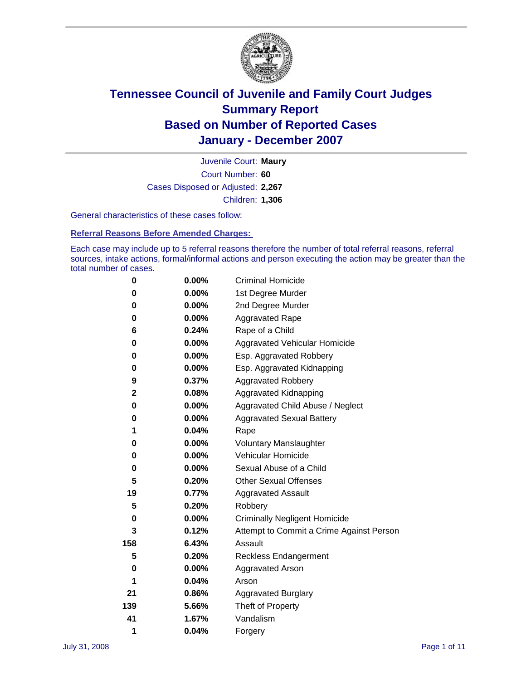

Court Number: **60** Juvenile Court: **Maury** Cases Disposed or Adjusted: **2,267** Children: **1,306**

General characteristics of these cases follow:

**Referral Reasons Before Amended Charges:** 

Each case may include up to 5 referral reasons therefore the number of total referral reasons, referral sources, intake actions, formal/informal actions and person executing the action may be greater than the total number of cases.

| 0   | $0.00\%$ | <b>Criminal Homicide</b>                 |
|-----|----------|------------------------------------------|
| 0   | 0.00%    | 1st Degree Murder                        |
| 0   | $0.00\%$ | 2nd Degree Murder                        |
| 0   | 0.00%    | <b>Aggravated Rape</b>                   |
| 6   | 0.24%    | Rape of a Child                          |
| 0   | $0.00\%$ | Aggravated Vehicular Homicide            |
| 0   | 0.00%    | Esp. Aggravated Robbery                  |
| 0   | $0.00\%$ | Esp. Aggravated Kidnapping               |
| 9   | 0.37%    | <b>Aggravated Robbery</b>                |
| 2   | 0.08%    | Aggravated Kidnapping                    |
| 0   | $0.00\%$ | Aggravated Child Abuse / Neglect         |
| 0   | 0.00%    | <b>Aggravated Sexual Battery</b>         |
| 1   | 0.04%    | Rape                                     |
| 0   | 0.00%    | <b>Voluntary Manslaughter</b>            |
| 0   | 0.00%    | Vehicular Homicide                       |
| 0   | 0.00%    | Sexual Abuse of a Child                  |
| 5   | 0.20%    | <b>Other Sexual Offenses</b>             |
| 19  | 0.77%    | <b>Aggravated Assault</b>                |
| 5   | 0.20%    | Robbery                                  |
| 0   | 0.00%    | <b>Criminally Negligent Homicide</b>     |
| 3   | 0.12%    | Attempt to Commit a Crime Against Person |
| 158 | 6.43%    | Assault                                  |
| 5   | 0.20%    | <b>Reckless Endangerment</b>             |
| 0   | 0.00%    | <b>Aggravated Arson</b>                  |
| 1   | 0.04%    | Arson                                    |
| 21  | 0.86%    | <b>Aggravated Burglary</b>               |
| 139 | 5.66%    | Theft of Property                        |
| 41  | 1.67%    | Vandalism                                |
| 1   | 0.04%    | Forgery                                  |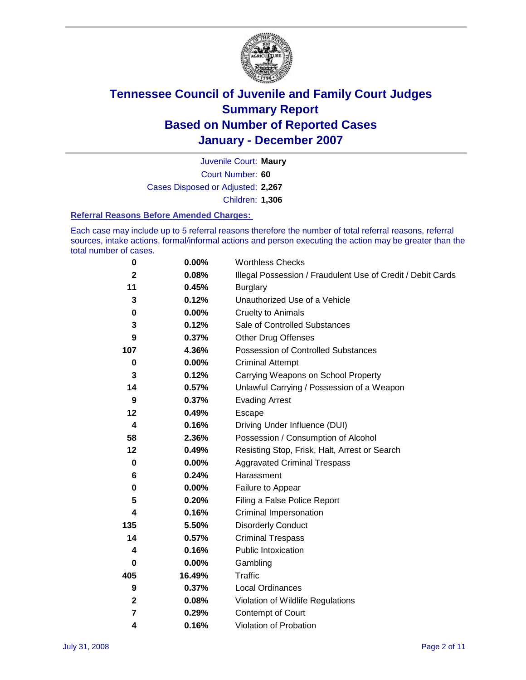

Court Number: **60** Juvenile Court: **Maury** Cases Disposed or Adjusted: **2,267** Children: **1,306**

#### **Referral Reasons Before Amended Charges:**

Each case may include up to 5 referral reasons therefore the number of total referral reasons, referral sources, intake actions, formal/informal actions and person executing the action may be greater than the total number of cases.

| 0                       | 0.00%    | <b>Worthless Checks</b>                                     |
|-------------------------|----------|-------------------------------------------------------------|
| $\mathbf{2}$            | 0.08%    | Illegal Possession / Fraudulent Use of Credit / Debit Cards |
| 11                      | 0.45%    | <b>Burglary</b>                                             |
| 3                       | 0.12%    | Unauthorized Use of a Vehicle                               |
| $\bf{0}$                | 0.00%    | <b>Cruelty to Animals</b>                                   |
| 3                       | 0.12%    | Sale of Controlled Substances                               |
| 9                       | 0.37%    | <b>Other Drug Offenses</b>                                  |
| 107                     | 4.36%    | Possession of Controlled Substances                         |
| 0                       | $0.00\%$ | <b>Criminal Attempt</b>                                     |
| 3                       | 0.12%    | Carrying Weapons on School Property                         |
| 14                      | 0.57%    | Unlawful Carrying / Possession of a Weapon                  |
| 9                       | 0.37%    | <b>Evading Arrest</b>                                       |
| 12                      | 0.49%    | Escape                                                      |
| 4                       | 0.16%    | Driving Under Influence (DUI)                               |
| 58                      | 2.36%    | Possession / Consumption of Alcohol                         |
| 12                      | 0.49%    | Resisting Stop, Frisk, Halt, Arrest or Search               |
| 0                       | $0.00\%$ | <b>Aggravated Criminal Trespass</b>                         |
| 6                       | 0.24%    | Harassment                                                  |
| 0                       | 0.00%    | Failure to Appear                                           |
| 5                       | 0.20%    | Filing a False Police Report                                |
| 4                       | 0.16%    | Criminal Impersonation                                      |
| 135                     | 5.50%    | <b>Disorderly Conduct</b>                                   |
| 14                      | 0.57%    | <b>Criminal Trespass</b>                                    |
| 4                       | 0.16%    | <b>Public Intoxication</b>                                  |
| 0                       | $0.00\%$ | Gambling                                                    |
| 405                     | 16.49%   | <b>Traffic</b>                                              |
| 9                       | 0.37%    | Local Ordinances                                            |
| $\overline{\mathbf{2}}$ | 0.08%    | Violation of Wildlife Regulations                           |
| $\overline{7}$          | 0.29%    | Contempt of Court                                           |
| 4                       | 0.16%    | Violation of Probation                                      |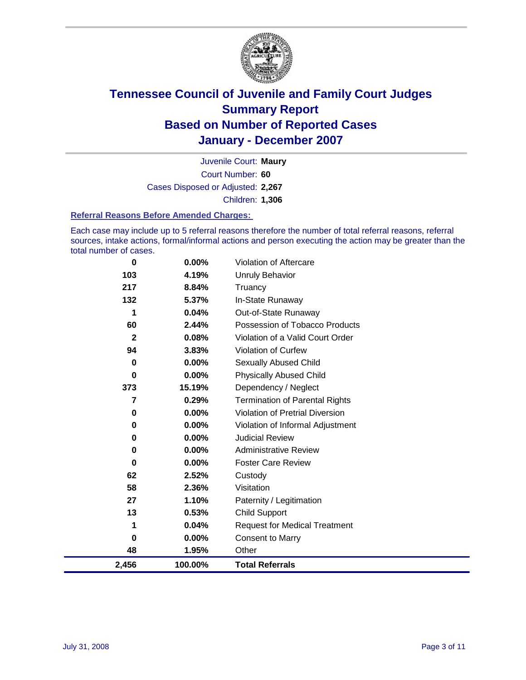

Court Number: **60** Juvenile Court: **Maury** Cases Disposed or Adjusted: **2,267** Children: **1,306**

#### **Referral Reasons Before Amended Charges:**

Each case may include up to 5 referral reasons therefore the number of total referral reasons, referral sources, intake actions, formal/informal actions and person executing the action may be greater than the total number of cases.

| 2,456        | 100.00%  | <b>Total Referrals</b>                 |
|--------------|----------|----------------------------------------|
| 48           | 1.95%    | Other                                  |
| 0            | 0.00%    | <b>Consent to Marry</b>                |
| 1            | 0.04%    | <b>Request for Medical Treatment</b>   |
| 13           | 0.53%    | <b>Child Support</b>                   |
| 27           | 1.10%    | Paternity / Legitimation               |
| 58           | 2.36%    | Visitation                             |
| 62           | 2.52%    | Custody                                |
| 0            | 0.00%    | <b>Foster Care Review</b>              |
| $\mathbf 0$  | 0.00%    | <b>Administrative Review</b>           |
| 0            | 0.00%    | <b>Judicial Review</b>                 |
| $\mathbf 0$  | 0.00%    | Violation of Informal Adjustment       |
| $\mathbf 0$  | 0.00%    | <b>Violation of Pretrial Diversion</b> |
| 7            | 0.29%    | <b>Termination of Parental Rights</b>  |
| 373          | 15.19%   | Dependency / Neglect                   |
| 0            | 0.00%    | <b>Physically Abused Child</b>         |
| $\mathbf 0$  | 0.00%    | <b>Sexually Abused Child</b>           |
| 94           | 3.83%    | Violation of Curfew                    |
| $\mathbf{2}$ | 0.08%    | Violation of a Valid Court Order       |
| 60           | 2.44%    | Possession of Tobacco Products         |
| 1            | 0.04%    | Out-of-State Runaway                   |
| 132          | 5.37%    | In-State Runaway                       |
| 217          | 8.84%    | Truancy                                |
| 103          | 4.19%    | <b>Unruly Behavior</b>                 |
| 0            | $0.00\%$ | Violation of Aftercare                 |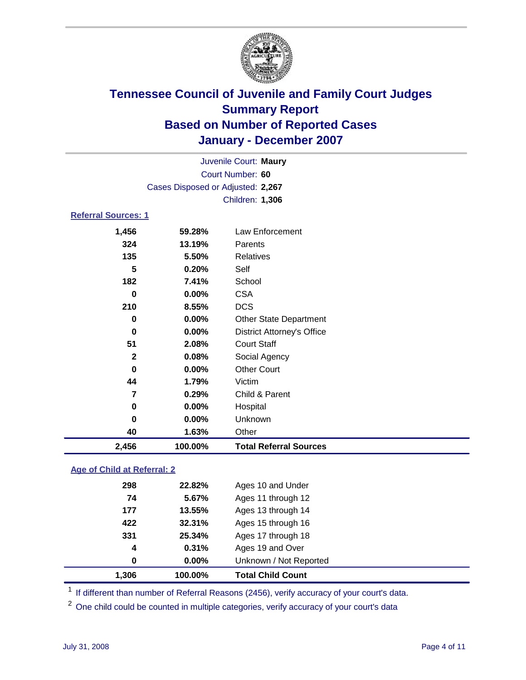

| Juvenile Court: Maury             |                                                                                        |                                   |  |  |  |  |  |
|-----------------------------------|----------------------------------------------------------------------------------------|-----------------------------------|--|--|--|--|--|
| Court Number: 60                  |                                                                                        |                                   |  |  |  |  |  |
| Cases Disposed or Adjusted: 2,267 |                                                                                        |                                   |  |  |  |  |  |
| Children: 1,306                   |                                                                                        |                                   |  |  |  |  |  |
| <b>Referral Sources: 1</b>        |                                                                                        |                                   |  |  |  |  |  |
| 1,456                             | 59.28%                                                                                 | Law Enforcement                   |  |  |  |  |  |
| 324                               | 13.19%                                                                                 | Parents                           |  |  |  |  |  |
| 135                               | 5.50%                                                                                  | Relatives                         |  |  |  |  |  |
| 5                                 | 0.20%                                                                                  | Self                              |  |  |  |  |  |
| 182                               | 7.41%                                                                                  | School                            |  |  |  |  |  |
| 0                                 | 0.00%                                                                                  | <b>CSA</b>                        |  |  |  |  |  |
| 210                               | 8.55%                                                                                  | <b>DCS</b>                        |  |  |  |  |  |
| 0                                 | 0.00%                                                                                  | <b>Other State Department</b>     |  |  |  |  |  |
| 0                                 | 0.00%                                                                                  | <b>District Attorney's Office</b> |  |  |  |  |  |
| 51                                | 2.08%                                                                                  | <b>Court Staff</b>                |  |  |  |  |  |
| $\mathbf{2}$                      | 0.08%                                                                                  | Social Agency                     |  |  |  |  |  |
| 0                                 | 0.00%                                                                                  | <b>Other Court</b>                |  |  |  |  |  |
| 44                                | Victim<br>1.79%<br>$\overline{7}$<br>0.29%<br>Child & Parent<br>0.00%<br>Hospital<br>0 |                                   |  |  |  |  |  |
|                                   |                                                                                        |                                   |  |  |  |  |  |
|                                   |                                                                                        |                                   |  |  |  |  |  |
| 0                                 | 0.00%                                                                                  | Unknown                           |  |  |  |  |  |
| 40                                | 1.63%                                                                                  | Other                             |  |  |  |  |  |

### **Age of Child at Referral: 2**

| 1.306            | 100.00% | <b>Total Child Count</b> |
|------------------|---------|--------------------------|
| 0                | 0.00%   | Unknown / Not Reported   |
| $\boldsymbol{4}$ | 0.31%   | Ages 19 and Over         |
| 331              | 25.34%  | Ages 17 through 18       |
| 422              | 32.31%  | Ages 15 through 16       |
| 177              | 13.55%  | Ages 13 through 14       |
| 74               | 5.67%   | Ages 11 through 12       |
| 298              | 22.82%  | Ages 10 and Under        |
|                  |         |                          |

<sup>1</sup> If different than number of Referral Reasons (2456), verify accuracy of your court's data.

<sup>2</sup> One child could be counted in multiple categories, verify accuracy of your court's data

**2,456 100.00% Total Referral Sources**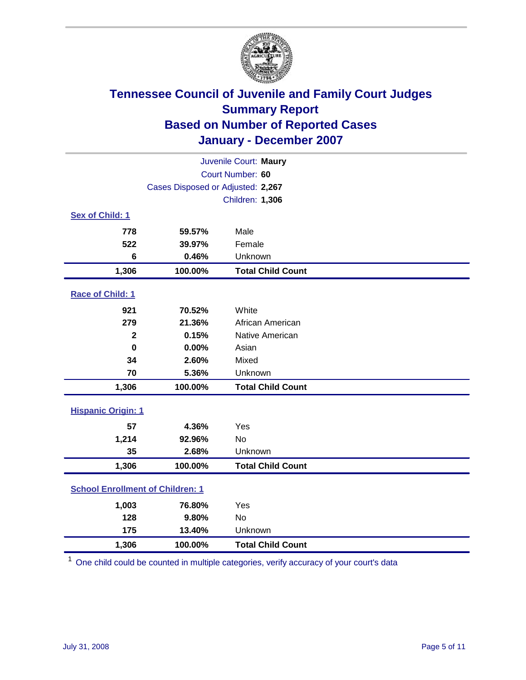

| Juvenile Court: Maury                   |                                   |                          |  |  |
|-----------------------------------------|-----------------------------------|--------------------------|--|--|
| Court Number: 60                        |                                   |                          |  |  |
|                                         | Cases Disposed or Adjusted: 2,267 |                          |  |  |
|                                         |                                   | Children: 1,306          |  |  |
| Sex of Child: 1                         |                                   |                          |  |  |
| 778                                     | 59.57%                            | Male                     |  |  |
| 522                                     | 39.97%                            | Female                   |  |  |
| 6                                       | 0.46%                             | Unknown                  |  |  |
| 1,306                                   | 100.00%                           | <b>Total Child Count</b> |  |  |
| Race of Child: 1                        |                                   |                          |  |  |
| 921                                     | 70.52%                            | White                    |  |  |
| 279                                     | 21.36%                            | African American         |  |  |
| $\mathbf 2$                             | 0.15%                             | Native American          |  |  |
| $\mathbf 0$                             | 0.00%                             | Asian                    |  |  |
| 34                                      | 2.60%                             | Mixed                    |  |  |
| 70                                      | 5.36%                             | Unknown                  |  |  |
| 1,306                                   | 100.00%                           | <b>Total Child Count</b> |  |  |
| <b>Hispanic Origin: 1</b>               |                                   |                          |  |  |
| 57                                      | 4.36%                             | Yes                      |  |  |
| 1,214                                   | 92.96%                            | <b>No</b>                |  |  |
| 35                                      | 2.68%                             | Unknown                  |  |  |
| 1,306                                   | 100.00%                           | <b>Total Child Count</b> |  |  |
| <b>School Enrollment of Children: 1</b> |                                   |                          |  |  |
| 1,003                                   | 76.80%                            | Yes                      |  |  |
| 128                                     | 9.80%                             | No                       |  |  |
| 175                                     | 13.40%                            | Unknown                  |  |  |
| 1,306                                   | 100.00%                           | <b>Total Child Count</b> |  |  |

 $1$  One child could be counted in multiple categories, verify accuracy of your court's data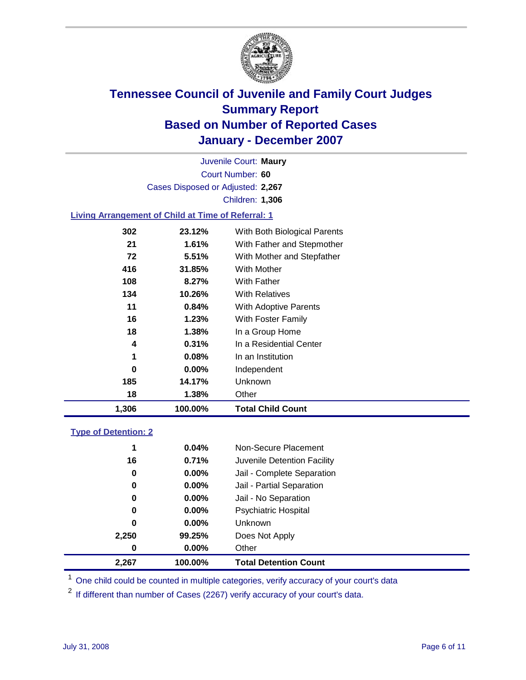

Court Number: **60** Juvenile Court: **Maury** Cases Disposed or Adjusted: **2,267** Children: **1,306**

### **Living Arrangement of Child at Time of Referral: 1**

| 1,306 | 100.00%  | <b>Total Child Count</b>     |
|-------|----------|------------------------------|
| 18    | 1.38%    | Other                        |
| 185   | 14.17%   | Unknown                      |
| 0     | $0.00\%$ | Independent                  |
| 1     | 0.08%    | In an Institution            |
| 4     | 0.31%    | In a Residential Center      |
| 18    | 1.38%    | In a Group Home              |
| 16    | 1.23%    | With Foster Family           |
| 11    | 0.84%    | With Adoptive Parents        |
| 134   | 10.26%   | <b>With Relatives</b>        |
| 108   | 8.27%    | With Father                  |
| 416   | 31.85%   | With Mother                  |
| 72    | 5.51%    | With Mother and Stepfather   |
| 21    | 1.61%    | With Father and Stepmother   |
| 302   | 23.12%   | With Both Biological Parents |
|       |          |                              |

#### **Type of Detention: 2**

| 2,267 | 100.00%  | <b>Total Detention Count</b> |  |
|-------|----------|------------------------------|--|
| 0     | $0.00\%$ | Other                        |  |
| 2,250 | 99.25%   | Does Not Apply               |  |
| 0     | $0.00\%$ | Unknown                      |  |
| 0     | 0.00%    | <b>Psychiatric Hospital</b>  |  |
| 0     | $0.00\%$ | Jail - No Separation         |  |
| 0     | $0.00\%$ | Jail - Partial Separation    |  |
| 0     | $0.00\%$ | Jail - Complete Separation   |  |
| 16    | 0.71%    | Juvenile Detention Facility  |  |
| 1     | 0.04%    | Non-Secure Placement         |  |
|       |          |                              |  |

<sup>1</sup> One child could be counted in multiple categories, verify accuracy of your court's data

<sup>2</sup> If different than number of Cases (2267) verify accuracy of your court's data.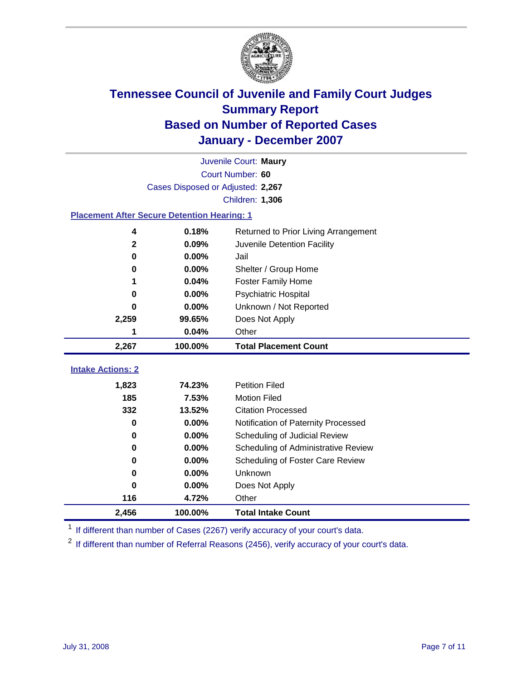

|                                                    | Juvenile Court: Maury             |                                      |  |  |  |
|----------------------------------------------------|-----------------------------------|--------------------------------------|--|--|--|
|                                                    | Court Number: 60                  |                                      |  |  |  |
|                                                    | Cases Disposed or Adjusted: 2,267 |                                      |  |  |  |
|                                                    |                                   | Children: 1,306                      |  |  |  |
| <b>Placement After Secure Detention Hearing: 1</b> |                                   |                                      |  |  |  |
| 4                                                  | 0.18%                             | Returned to Prior Living Arrangement |  |  |  |
| $\mathbf 2$                                        | 0.09%                             | Juvenile Detention Facility          |  |  |  |
| $\bf{0}$                                           | 0.00%                             | Jail                                 |  |  |  |
| 0                                                  | 0.00%                             | Shelter / Group Home                 |  |  |  |
|                                                    | 0.04%                             | <b>Foster Family Home</b>            |  |  |  |
| 0                                                  | 0.00%                             | Psychiatric Hospital                 |  |  |  |
| 0                                                  | 0.00%                             | Unknown / Not Reported               |  |  |  |
| 2,259                                              | 99.65%                            | Does Not Apply                       |  |  |  |
| 1                                                  | 0.04%                             | Other                                |  |  |  |
|                                                    | 100.00%                           | <b>Total Placement Count</b>         |  |  |  |
| 2,267                                              |                                   |                                      |  |  |  |
|                                                    |                                   |                                      |  |  |  |
| <b>Intake Actions: 2</b>                           | 74.23%                            | <b>Petition Filed</b>                |  |  |  |
| 1,823<br>185                                       | 7.53%                             | <b>Motion Filed</b>                  |  |  |  |
| 332                                                | 13.52%                            | <b>Citation Processed</b>            |  |  |  |
| $\bf{0}$                                           | 0.00%                             | Notification of Paternity Processed  |  |  |  |
| 0                                                  | 0.00%                             | Scheduling of Judicial Review        |  |  |  |
| 0                                                  | 0.00%                             | Scheduling of Administrative Review  |  |  |  |
| 0                                                  | 0.00%                             | Scheduling of Foster Care Review     |  |  |  |
| $\bf{0}$                                           | 0.00%                             | Unknown                              |  |  |  |
| $\bf{0}$                                           | 0.00%                             | Does Not Apply                       |  |  |  |
| 116                                                | 4.72%                             | Other                                |  |  |  |

<sup>1</sup> If different than number of Cases (2267) verify accuracy of your court's data.

<sup>2</sup> If different than number of Referral Reasons (2456), verify accuracy of your court's data.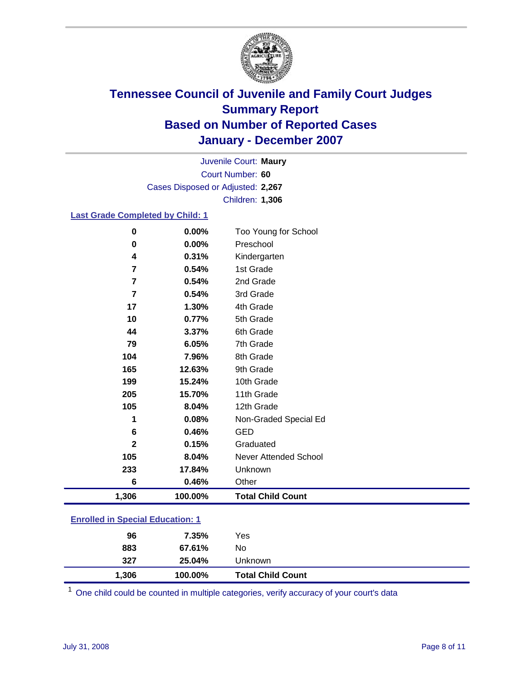

Court Number: **60** Juvenile Court: **Maury** Cases Disposed or Adjusted: **2,267** Children: **1,306**

#### **Last Grade Completed by Child: 1**

| 0                       | 0.00%   | Too Young for School     |
|-------------------------|---------|--------------------------|
| 0                       | 0.00%   | Preschool                |
| 4                       | 0.31%   | Kindergarten             |
| 7                       | 0.54%   | 1st Grade                |
| $\overline{\mathbf{r}}$ | 0.54%   | 2nd Grade                |
| 7                       | 0.54%   | 3rd Grade                |
| 17                      | 1.30%   | 4th Grade                |
| 10                      | 0.77%   | 5th Grade                |
| 44                      | 3.37%   | 6th Grade                |
| 79                      | 6.05%   | 7th Grade                |
| 104                     | 7.96%   | 8th Grade                |
| 165                     | 12.63%  | 9th Grade                |
| 199                     | 15.24%  | 10th Grade               |
| 205                     | 15.70%  | 11th Grade               |
| 105                     | 8.04%   | 12th Grade               |
| 1                       | 0.08%   | Non-Graded Special Ed    |
| 6                       | 0.46%   | <b>GED</b>               |
| $\mathbf 2$             | 0.15%   | Graduated                |
| 105                     | 8.04%   | Never Attended School    |
| 233                     | 17.84%  | Unknown                  |
| 6                       | 0.46%   | Other                    |
| 1,306                   | 100.00% | <b>Total Child Count</b> |

### **Enrolled in Special Education: 1**

| 1,306 | 100.00% | <b>Total Child Count</b> |  |
|-------|---------|--------------------------|--|
| 327   | 25.04%  | Unknown                  |  |
| 883   | 67.61%  | No                       |  |
| 96    | 7.35%   | Yes                      |  |
|       |         |                          |  |

<sup>1</sup> One child could be counted in multiple categories, verify accuracy of your court's data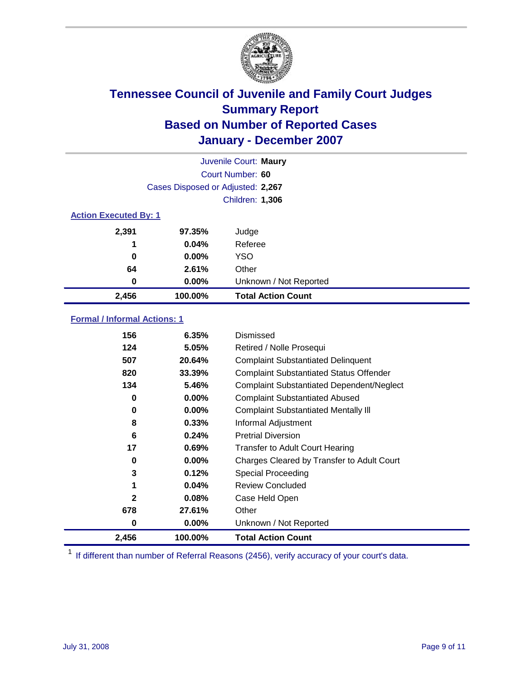

| Juvenile Court: Maury |                                   |                           |  |  |  |
|-----------------------|-----------------------------------|---------------------------|--|--|--|
|                       | Court Number: 60                  |                           |  |  |  |
|                       | Cases Disposed or Adjusted: 2,267 |                           |  |  |  |
|                       | <b>Children: 1,306</b>            |                           |  |  |  |
|                       | <b>Action Executed By: 1</b>      |                           |  |  |  |
| 2,391                 | 97.35%                            | Judge                     |  |  |  |
| 1                     | 0.04%                             | Referee                   |  |  |  |
| 0                     | $0.00\%$                          | <b>YSO</b>                |  |  |  |
| 64                    | 2.61%                             | Other                     |  |  |  |
| 0                     | $0.00\%$                          | Unknown / Not Reported    |  |  |  |
| 2,456                 | 100.00%                           | <b>Total Action Count</b> |  |  |  |

### **Formal / Informal Actions: 1**

| 156          | 6.35%    | Dismissed                                        |
|--------------|----------|--------------------------------------------------|
| 124          | 5.05%    | Retired / Nolle Prosequi                         |
| 507          | 20.64%   | <b>Complaint Substantiated Delinquent</b>        |
| 820          | 33.39%   | <b>Complaint Substantiated Status Offender</b>   |
| 134          | 5.46%    | <b>Complaint Substantiated Dependent/Neglect</b> |
| 0            | 0.00%    | <b>Complaint Substantiated Abused</b>            |
| 0            | $0.00\%$ | <b>Complaint Substantiated Mentally III</b>      |
| 8            | 0.33%    | Informal Adjustment                              |
| 6            | 0.24%    | <b>Pretrial Diversion</b>                        |
| 17           | 0.69%    | <b>Transfer to Adult Court Hearing</b>           |
| 0            | $0.00\%$ | Charges Cleared by Transfer to Adult Court       |
| 3            | 0.12%    | Special Proceeding                               |
| 1            | 0.04%    | <b>Review Concluded</b>                          |
| $\mathbf{2}$ | 0.08%    | Case Held Open                                   |
| 678          | 27.61%   | Other                                            |
| 0            | $0.00\%$ | Unknown / Not Reported                           |
| 2,456        | 100.00%  | <b>Total Action Count</b>                        |

<sup>1</sup> If different than number of Referral Reasons (2456), verify accuracy of your court's data.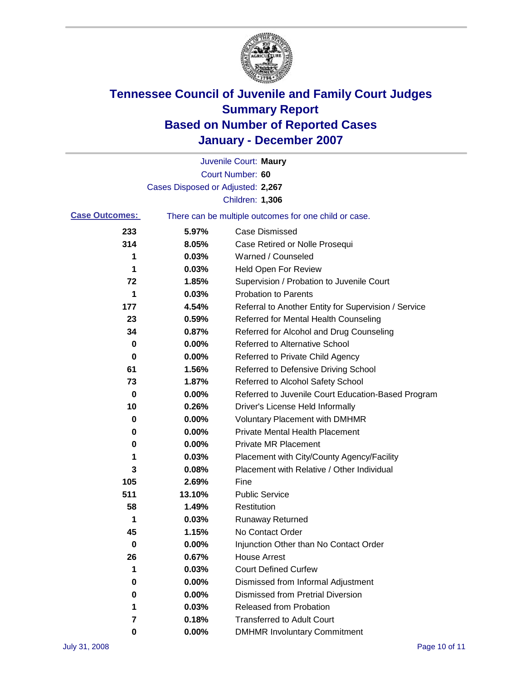

|                       |                                   | Juvenile Court: Maury                                 |
|-----------------------|-----------------------------------|-------------------------------------------------------|
|                       |                                   | Court Number: 60                                      |
|                       | Cases Disposed or Adjusted: 2,267 |                                                       |
|                       |                                   | <b>Children: 1,306</b>                                |
| <b>Case Outcomes:</b> |                                   | There can be multiple outcomes for one child or case. |
| 233                   | 5.97%                             | <b>Case Dismissed</b>                                 |
| 314                   | 8.05%                             | Case Retired or Nolle Prosequi                        |
| 1                     | 0.03%                             | Warned / Counseled                                    |
| 1                     | 0.03%                             | <b>Held Open For Review</b>                           |
| 72                    | 1.85%                             | Supervision / Probation to Juvenile Court             |
| 1                     | 0.03%                             | <b>Probation to Parents</b>                           |
| 177                   | 4.54%                             | Referral to Another Entity for Supervision / Service  |
| 23                    | 0.59%                             | Referred for Mental Health Counseling                 |
| 34                    | 0.87%                             | Referred for Alcohol and Drug Counseling              |
| 0                     | 0.00%                             | <b>Referred to Alternative School</b>                 |
| 0                     | 0.00%                             | Referred to Private Child Agency                      |
| 61                    | 1.56%                             | Referred to Defensive Driving School                  |
| 73                    | 1.87%                             | Referred to Alcohol Safety School                     |
| 0                     | 0.00%                             | Referred to Juvenile Court Education-Based Program    |
| 10                    | 0.26%                             | Driver's License Held Informally                      |
| 0                     | 0.00%                             | <b>Voluntary Placement with DMHMR</b>                 |
| 0                     | 0.00%                             | <b>Private Mental Health Placement</b>                |
| 0                     | 0.00%                             | <b>Private MR Placement</b>                           |
| 1                     | 0.03%                             | Placement with City/County Agency/Facility            |
| 3                     | 0.08%                             | Placement with Relative / Other Individual            |
| 105                   | 2.69%                             | Fine                                                  |
| 511                   | 13.10%                            | <b>Public Service</b>                                 |
| 58                    | 1.49%                             | Restitution                                           |
| 1                     | 0.03%                             | <b>Runaway Returned</b>                               |
| 45                    | 1.15%                             | No Contact Order                                      |
| 0                     | 0.00%                             | Injunction Other than No Contact Order                |
| 26                    | 0.67%                             | <b>House Arrest</b>                                   |
| 1                     | 0.03%                             | <b>Court Defined Curfew</b>                           |
| 0                     | 0.00%                             | Dismissed from Informal Adjustment                    |
| 0                     | 0.00%                             | <b>Dismissed from Pretrial Diversion</b>              |
| 1                     | 0.03%                             | Released from Probation                               |
| 7                     | 0.18%                             | <b>Transferred to Adult Court</b>                     |
| 0                     | 0.00%                             | <b>DMHMR Involuntary Commitment</b>                   |